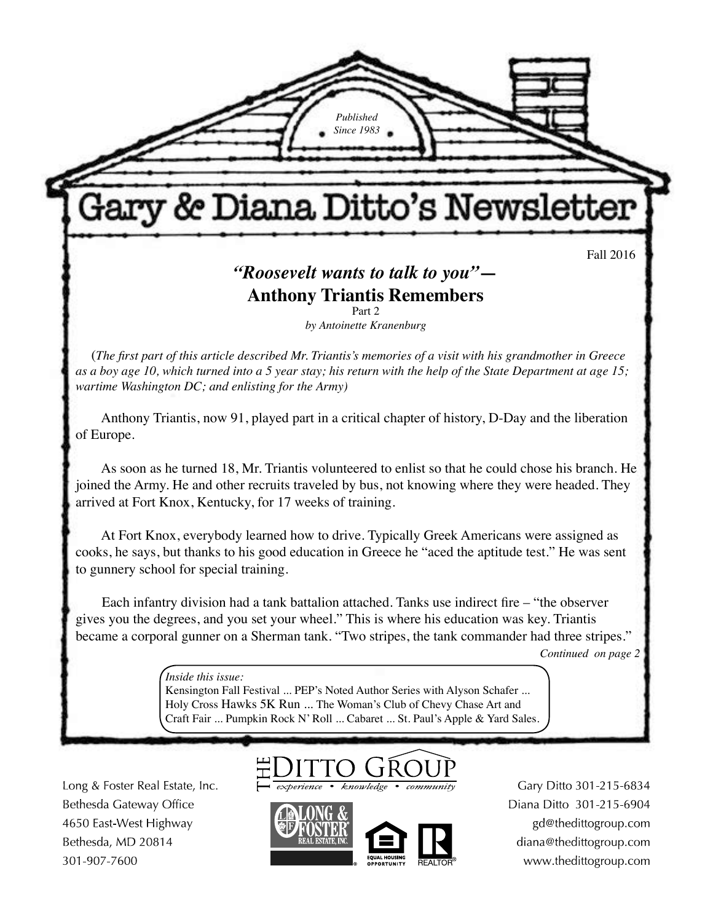*Published Since 1983* Gary & Diana Ditto's Newsletter Fall 2016 *"Roosevelt wants to talk to you"***— Anthony Triantis Remembers** Part 2 *by Antoinette Kranenburg* (*The first part of this article described Mr. Triantis's memories of a visit with his grandmother in Greece as a boy age 10, which turned into a 5 year stay; his return with the help of the State Department at age 15; wartime Washington DC; and enlisting for the Army)* Anthony Triantis, now 91, played part in a critical chapter of history, D-Day and the liberation of Europe. As soon as he turned 18, Mr. Triantis volunteered to enlist so that he could chose his branch. He joined the Army. He and other recruits traveled by bus, not knowing where they were headed. They arrived at Fort Knox, Kentucky, for 17 weeks of training. At Fort Knox, everybody learned how to drive. Typically Greek Americans were assigned as cooks, he says, but thanks to his good education in Greece he "aced the aptitude test." He was sent to gunnery school for special training. Each infantry division had a tank battalion attached. Tanks use indirect fire – "the observer gives you the degrees, and you set your wheel." This is where his education was key. Triantis became a corporal gunner on a Sherman tank. "Two stripes, the tank commander had three stripes."

*Continued on page 2*

March 2013 *Inside this issue:* 

**There's No Place Art Article Addition** Series with Aryson Scharch ...<br>Holy Cross Hawks 5K Run ... The Woman's Club of Chevy Chase Art and Kensington Fall Festival ... PEP's Noted Author Series with Alyson Schafer ... Craft Fair ... Pumpkin Rock N' Roll ... Cabaret ... St. Paul's Apple & Yard Sales.

Long & Foster Real Estate, Inc. Bethesda Gateway Office 4650 East-West Highway Bethesda, MD 20814 301-907-7600

experience • knowledge



Gary Ditto 301-215-6834 Diana Ditto 301-215-6904 gd@thedittogroup.com diana@thedittogroup.com www.thedittogroup.com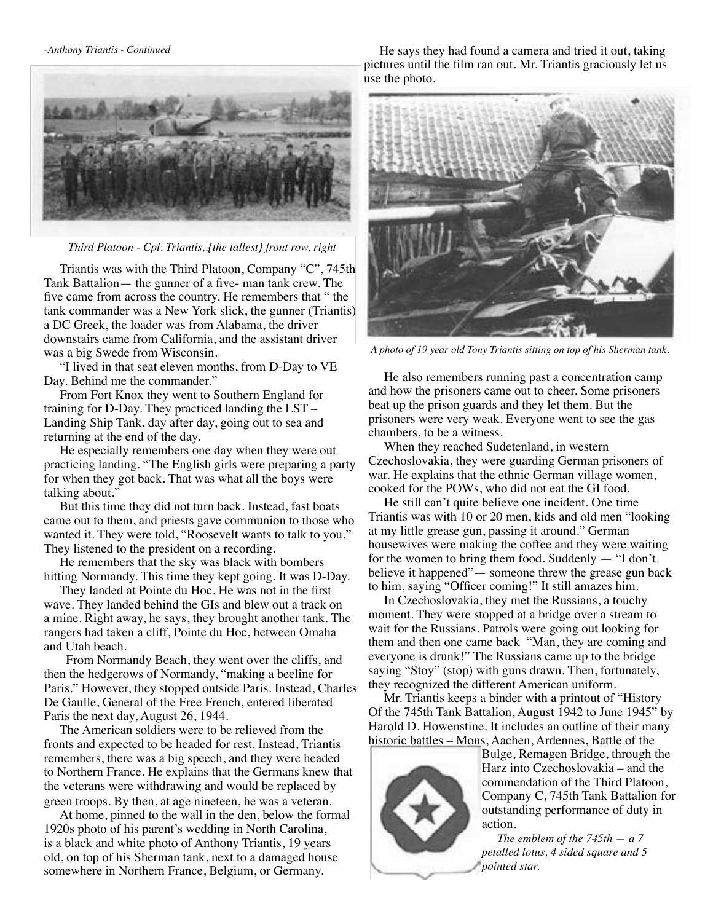

 *Third Platoon - Cpl. Triantis,.{the tallest} front row, right* 

Triantis was with the Third Platoon, Company "C", 745th Tank Battalion— the gunner of a five- man tank crew. The five came from across the country. He remembers that " the tank commander was a New York slick, the gunner (Triantis) a DC Greek, the loader was from Alabama, the driver downstairs came from California, and the assistant driver was a big Swede from Wisconsin.

"I lived in that seat eleven months, from D-Day to VE Day. Behind me the commander."

From Fort Knox they went to Southern England for training for D-Day. They practiced landing the LST – Landing Ship Tank, day after day, going out to sea and returning at the end of the day.

He especially remembers one day when they were out practicing landing. "The English girls were preparing a party for when they got back. That was what all the boys were talking about."

But this time they did not turn back. Instead, fast boats came out to them, and priests gave communion to those who wanted it. They were told, "Roosevelt wants to talk to you." They listened to the president on a recording.

He remembers that the sky was black with bombers hitting Normandy. This time they kept going. It was D-Day.

They landed at Pointe du Hoc. He was not in the first wave. They landed behind the GIs and blew out a track on a mine. Right away, he says, they brought another tank. The rangers had taken a cliff, Pointe du Hoc, between Omaha and Utah beach.

 From Normandy Beach, they went over the cliffs, and then the hedgerows of Normandy, "making a beeline for Paris." However, they stopped outside Paris. Instead, Charles De Gaulle, General of the Free French, entered liberated Paris the next day, August 26, 1944.

The American soldiers were to be relieved from the fronts and expected to be headed for rest. Instead, Triantis remembers, there was a big speech, and they were headed to Northern France. He explains that the Germans knew that the veterans were withdrawing and would be replaced by green troops. By then, at age nineteen, he was a veteran.

At home, pinned to the wall in the den, below the formal 1920s photo of his parent's wedding in North Carolina, is a black and white photo of Anthony Triantis, 19 years old, on top of his Sherman tank, next to a damaged house somewhere in Northern France, Belgium, or Germany.

He says they had found a camera and tried it out, taking pictures until the film ran out. Mr. Triantis graciously let us use the photo.



 *A photo of 19 year old Tony Triantis sitting on top of his Sherman tank.*

He also remembers running past a concentration camp and how the prisoners came out to cheer. Some prisoners beat up the prison guards and they let them. But the prisoners were very weak. Everyone went to see the gas chambers, to be a witness.

When they reached Sudetenland, in western Czechoslovakia, they were guarding German prisoners of war. He explains that the ethnic German village women, cooked for the POWs, who did not eat the GI food.

He still can't quite believe one incident. One time Triantis was with 10 or 20 men, kids and old men "looking at my little grease gun, passing it around." German housewives were making the coffee and they were waiting for the women to bring them food. Suddenly — "I don't believe it happened"— someone threw the grease gun back to him, saying "Officer coming!" It still amazes him.

In Czechoslovakia, they met the Russians, a touchy moment. They were stopped at a bridge over a stream to wait for the Russians. Patrols were going out looking for them and then one came back "Man, they are coming and everyone is drunk!" The Russians came up to the bridge saying "Stoy" (stop) with guns drawn. Then, fortunately, they recognized the different American uniform.

Mr. Triantis keeps a binder with a printout of "History Of the 745th Tank Battalion, August 1942 to June 1945" by Harold D. Howenstine. It includes an outline of their many historic battles – Mons, Aachen, Ardennes, Battle of the



Bulge, Remagen Bridge, through the Harz into Czechoslovakia – and the commendation of the Third Platoon, Company C, 745th Tank Battalion for outstanding performance of duty in action.

*The emblem of the 745th — a 7 petalled lotus, 4 sided square and 5 pointed star.*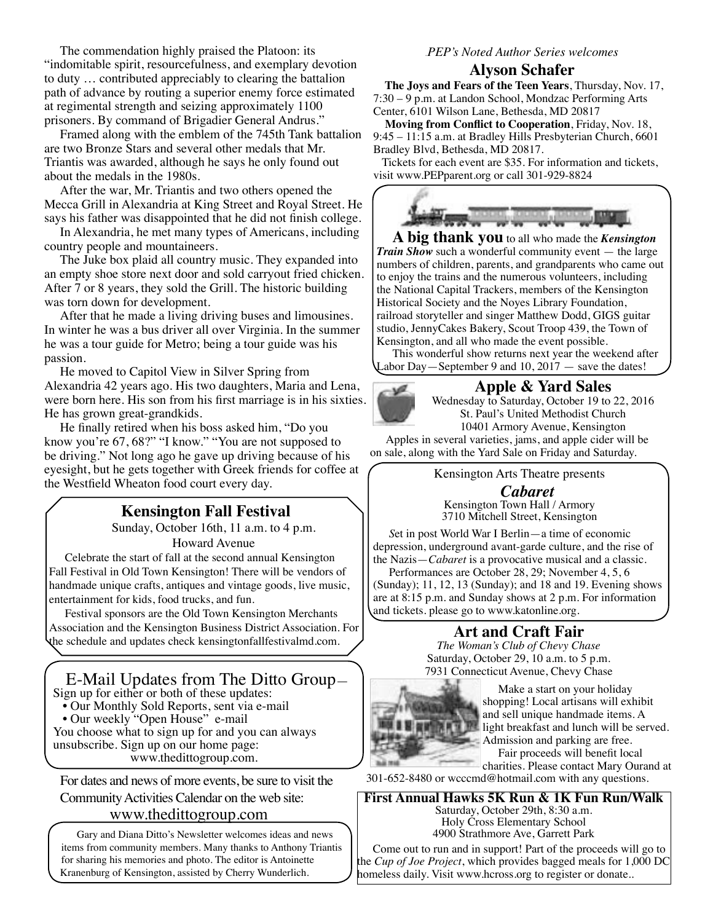The commendation highly praised the Platoon: its "indomitable spirit, resourcefulness, and exemplary devotion to duty … contributed appreciably to clearing the battalion path of advance by routing a superior enemy force estimated at regimental strength and seizing approximately 1100 prisoners. By command of Brigadier General Andrus."

Framed along with the emblem of the 745th Tank battalion are two Bronze Stars and several other medals that Mr. Triantis was awarded, although he says he only found out about the medals in the 1980s.

After the war, Mr. Triantis and two others opened the Mecca Grill in Alexandria at King Street and Royal Street. He says his father was disappointed that he did not finish college.

In Alexandria, he met many types of Americans, including country people and mountaineers.

The Juke box plaid all country music. They expanded into an empty shoe store next door and sold carryout fried chicken. After 7 or 8 years, they sold the Grill. The historic building was torn down for development.

After that he made a living driving buses and limousines. In winter he was a bus driver all over Virginia. In the summer he was a tour guide for Metro; being a tour guide was his passion.

He moved to Capitol View in Silver Spring from Alexandria 42 years ago. His two daughters, Maria and Lena, were born here. His son from his first marriage is in his sixties. He has grown great-grandkids.

He finally retired when his boss asked him, "Do you know you're 67, 68?" "I know." "You are not supposed to be driving." Not long ago he gave up driving because of his eyesight, but he gets together with Greek friends for coffee at the Westfield Wheaton food court every day.

### **Kensington Fall Festival**

Sunday, October 16th, 11 a.m. to 4 p.m. Howard Avenue

Celebrate the start of fall at the second annual Kensington Fall Festival in Old Town Kensington! There will be vendors of handmade unique crafts, antiques and vintage goods, live music, entertainment for kids, food trucks, and fun.

Festival sponsors are the Old Town Kensington Merchants Association and the Kensington Business District Association. For the schedule and updates check kensingtonfallfestivalmd.com.

#### E-Mail Updates from The Ditto Group— Sign up for either or both of these updates:

• Our Monthly Sold Reports, sent via e-mail

- Our weekly "Open House" e-mail
- 

You choose what to sign up for and you can always unsubscribe. Sign up on our home page: www.thedittogroup.com.

For dates and news of more events, be sure to visit the Community Activities Calendar on the web site:

#### www.thedittogroup.com

Gary and Diana Ditto's Newsletter welcomes ideas and news items from community members. Many thanks to Anthony Triantis for sharing his memories and photo. The editor is Antoinette Kranenburg of Kensington, assisted by Cherry Wunderlich.

#### PEP*PEP's Noted Author Series welcomes*

**Alyson Schafer**<br>The Joys and Fears of the Teen Years, Thursday, Nov. 17, 7:30 – 9 p.m. at Landon School, Mondzac Performing Arts Center, 6101 Wilson Lane, Bethesda, MD 20817

 **Moving from Conflict to Cooperation**, Friday, Nov. 18, 9:45 – 11:15 a.m. at Bradley Hills Presbyterian Church, 6601 Bradley Blvd, Bethesda, MD 20817.

 Tickets for each event are \$35. For information and tickets, visit www.PEPparent.org or call 301-929-8824



**A big thank you** to all who made the *Kensington Train Show* such a wonderful community event — the large numbers of children, parents, and grandparents who came out to enjoy the trains and the numerous volunteers, including the National Capital Trackers, members of the Kensington Historical Society and the Noyes Library Foundation, railroad storyteller and singer Matthew Dodd, GIGS guitar studio, JennyCakes Bakery, Scout Troop 439, the Town of Kensington, and all who made the event possible.

This wonderful show returns next year the weekend after Labor Day—September 9 and  $10, 2017$  — save the dates!

#### **Apple & Yard Sales**



Wednesday to Saturday, October 19 to 22, 2016 St. Paul's United Methodist Church 10401 Armory Avenue, Kensington

Apples in several varieties, jams, and apple cider will be on sale, along with the Yard Sale on Friday and Saturday.

Kensington Arts Theatre presents

*Cabaret* Kensington Town Hall / Armory 3710 Mitchell Street, Kensington

*S*et in post World War I Berlin—a time of economic depression, underground avant-garde culture, and the rise of the Nazis—*Cabaret* is a provocative musical and a classic.

Performances are October 28, 29; November 4, 5, 6 (Sunday); 11, 12, 13 (Sunday); and 18 and 19. Evening shows are at 8:15 p.m. and Sunday shows at 2 p.m. For information and tickets. please go to www.katonline.org.

### **Art and Craft Fair**

*The Woman's Club of Chevy Chase* Saturday, October 29, 10 a.m. to 5 p.m. 7931 Connecticut Avenue, Chevy Chase



Make a start on your holiday shopping! Local artisans will exhibit and sell unique handmade items. A light breakfast and lunch will be served. Admission and parking are free. Fair proceeds will benefit local

charities. Please contact Mary Ourand at

301-652-8480 or wcccmd@hotmail.com with any questions.

**First Annual Hawks 5K Run & 1K Fun Run/Walk** Saturday, October 29th, 8:30 a.m. Holy Cross Elementary School 4900 Strathmore Ave, Garrett Park

Come out to run and in support! Part of the proceeds will go to the *Cup of Joe Project*, which provides bagged meals for 1,000 DC homeless daily. Visit www.hcross.org to register or donate..